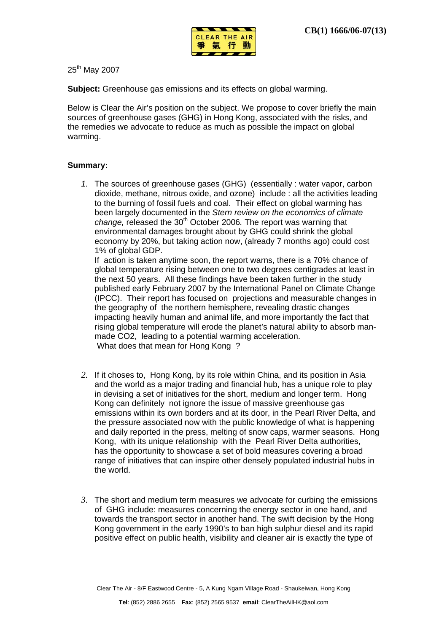

25<sup>th</sup> May 2007

**Subject:** Greenhouse gas emissions and its effects on global warming.

Below is Clear the Air's position on the subject. We propose to cover briefly the main sources of greenhouse gases (GHG) in Hong Kong, associated with the risks, and the remedies we advocate to reduce as much as possible the impact on global warming.

## **Summary:**

*1.* The sources of greenhouse gases (GHG) (essentially : water vapor, carbon dioxide, methane, nitrous oxide, and ozone) include : all the activities leading to the burning of fossil fuels and coal. Their effect on global warming has been largely documented in the *Stern review on the economics of climate change, released the 30<sup>th</sup> October 2006.* The report was warning that environmental damages brought about by GHG could shrink the global economy by 20%, but taking action now, (already 7 months ago) could cost 1% of global GDP.

If action is taken anytime soon, the report warns, there is a 70% chance of global temperature rising between one to two degrees centigrades at least in the next 50 years. All these findings have been taken further in the study published early February 2007 by the International Panel on Climate Change (IPCC). Their report has focused on projections and measurable changes in the geography of the northern hemisphere, revealing drastic changes impacting heavily human and animal life, and more importantly the fact that rising global temperature will erode the planet's natural ability to absorb manmade CO2, leading to a potential warming acceleration. What does that mean for Hong Kong ?

- *2.* If it choses to, Hong Kong, by its role within China, and its position in Asia and the world as a major trading and financial hub, has a unique role to play in devising a set of initiatives for the short, medium and longer term. Hong Kong can definitely not ignore the issue of massive greenhouse gas emissions within its own borders and at its door, in the Pearl River Delta, and the pressure associated now with the public knowledge of what is happening and daily reported in the press, melting of snow caps, warmer seasons. Hong Kong, with its unique relationship with the Pearl River Delta authorities, has the opportunity to showcase a set of bold measures covering a broad range of initiatives that can inspire other densely populated industrial hubs in the world.
- *3.* The short and medium term measures we advocate for curbing the emissions of GHG include: measures concerning the energy sector in one hand, and towards the transport sector in another hand. The swift decision by the Hong Kong government in the early 1990's to ban high sulphur diesel and its rapid positive effect on public health, visibility and cleaner air is exactly the type of

Clear The Air - 8/F Eastwood Centre - 5, A Kung Ngam Village Road - Shaukeiwan, Hong Kong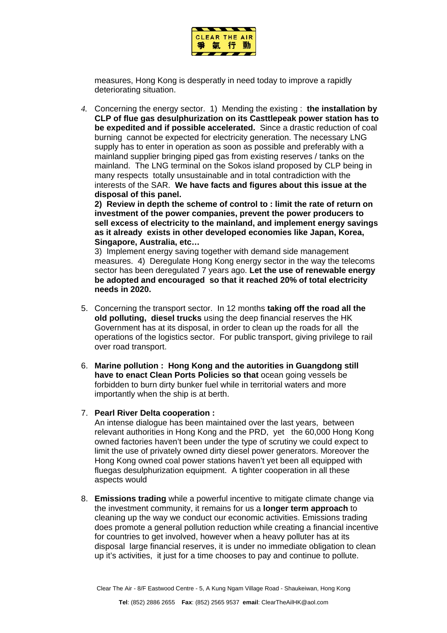

measures, Hong Kong is desperatly in need today to improve a rapidly deteriorating situation.

*4.* Concerning the energy sector. 1) Mending the existing : **the installation by CLP of flue gas desulphurization on its Casttlepeak power station has to be expedited and if possible accelerated.** Since a drastic reduction of coal burning cannot be expected for electricity generation. The necessary LNG supply has to enter in operation as soon as possible and preferably with a mainland supplier bringing piped gas from existing reserves / tanks on the mainland. The LNG terminal on the Sokos island proposed by CLP being in many respects totally unsustainable and in total contradiction with the interests of the SAR. **We have facts and figures about this issue at the disposal of this panel.**

**2) Review in depth the scheme of control to : limit the rate of return on investment of the power companies, prevent the power producers to sell excess of electricity to the mainland, and implement energy savings as it already exists in other developed economies like Japan, Korea, Singapore, Australia, etc…**

3) Implement energy saving together with demand side management measures. 4) Deregulate Hong Kong energy sector in the way the telecoms sector has been deregulated 7 years ago. **Let the use of renewable energy be adopted and encouraged so that it reached 20% of total electricity needs in 2020.** 

- 5. Concerning the transport sector. In 12 months **taking off the road all the old polluting, diesel trucks** using the deep financial reserves the HK Government has at its disposal, in order to clean up the roads for all the operations of the logistics sector. For public transport, giving privilege to rail over road transport.
- 6. **Marine pollution : Hong Kong and the autorities in Guangdong still have to enact Clean Ports Policies so that** ocean going vessels be forbidden to burn dirty bunker fuel while in territorial waters and more importantly when the ship is at berth.

## 7. **Pearl River Delta cooperation :**

An intense dialogue has been maintained over the last years, between relevant authorities in Hong Kong and the PRD, yet the 60,000 Hong Kong owned factories haven't been under the type of scrutiny we could expect to limit the use of privately owned dirty diesel power generators. Moreover the Hong Kong owned coal power stations haven't yet been all equipped with fluegas desulphurization equipment. A tighter cooperation in all these aspects would

8. **Emissions trading** while a powerful incentive to mitigate climate change via the investment community, it remains for us a **longer term approach** to cleaning up the way we conduct our economic activities. Emissions trading does promote a general pollution reduction while creating a financial incentive for countries to get involved, however when a heavy polluter has at its disposal large financial reserves, it is under no immediate obligation to clean up it's activities, it just for a time chooses to pay and continue to pollute.